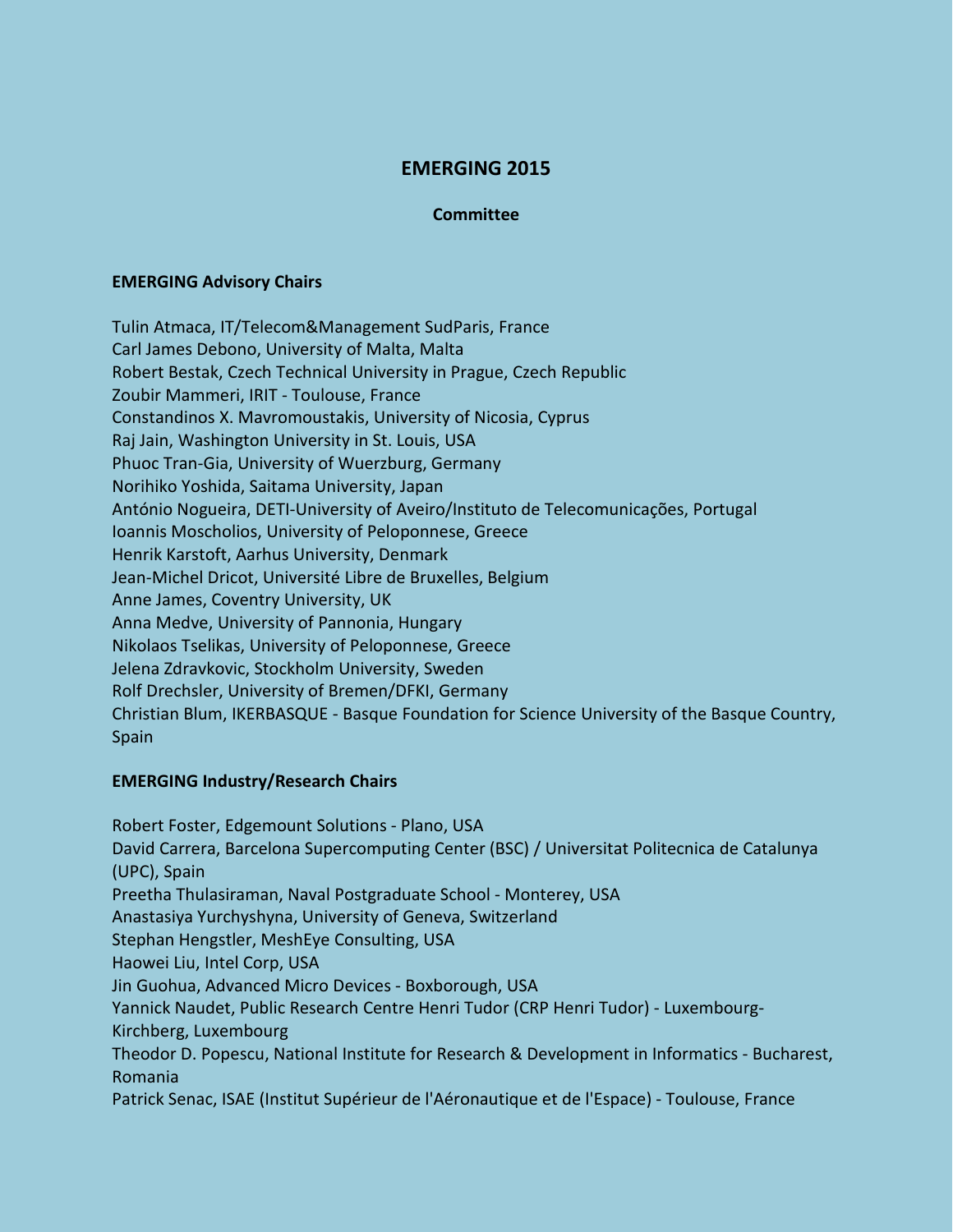# **EMERGING 2015**

#### **Committee**

#### **EMERGING Advisory Chairs**

Tulin Atmaca, IT/Telecom&Management SudParis, France Carl James Debono, University of Malta, Malta Robert Bestak, Czech Technical University in Prague, Czech Republic Zoubir Mammeri, IRIT - Toulouse, France Constandinos X. Mavromoustakis, University of Nicosia, Cyprus Raj Jain, Washington University in St. Louis, USA Phuoc Tran-Gia, University of Wuerzburg, Germany Norihiko Yoshida, Saitama University, Japan António Nogueira, DETI-University of Aveiro/Instituto de Telecomunicações, Portugal Ioannis Moscholios, University of Peloponnese, Greece Henrik Karstoft, Aarhus University, Denmark Jean-Michel Dricot, Université Libre de Bruxelles, Belgium Anne James, Coventry University, UK Anna Medve, University of Pannonia, Hungary Nikolaos Tselikas, University of Peloponnese, Greece Jelena Zdravkovic, Stockholm University, Sweden Rolf Drechsler, University of Bremen/DFKI, Germany Christian Blum, IKERBASQUE - Basque Foundation for Science University of the Basque Country, Spain

## **EMERGING Industry/Research Chairs**

Robert Foster, Edgemount Solutions - Plano, USA David Carrera, Barcelona Supercomputing Center (BSC) / Universitat Politecnica de Catalunya (UPC), Spain Preetha Thulasiraman, Naval Postgraduate School - Monterey, USA Anastasiya Yurchyshyna, University of Geneva, Switzerland Stephan Hengstler, MeshEye Consulting, USA Haowei Liu, Intel Corp, USA Jin Guohua, Advanced Micro Devices - Boxborough, USA Yannick Naudet, Public Research Centre Henri Tudor (CRP Henri Tudor) - Luxembourg-Kirchberg, Luxembourg Theodor D. Popescu, National Institute for Research & Development in Informatics - Bucharest, Romania Patrick Senac, ISAE (Institut Supérieur de l'Aéronautique et de l'Espace) - Toulouse, France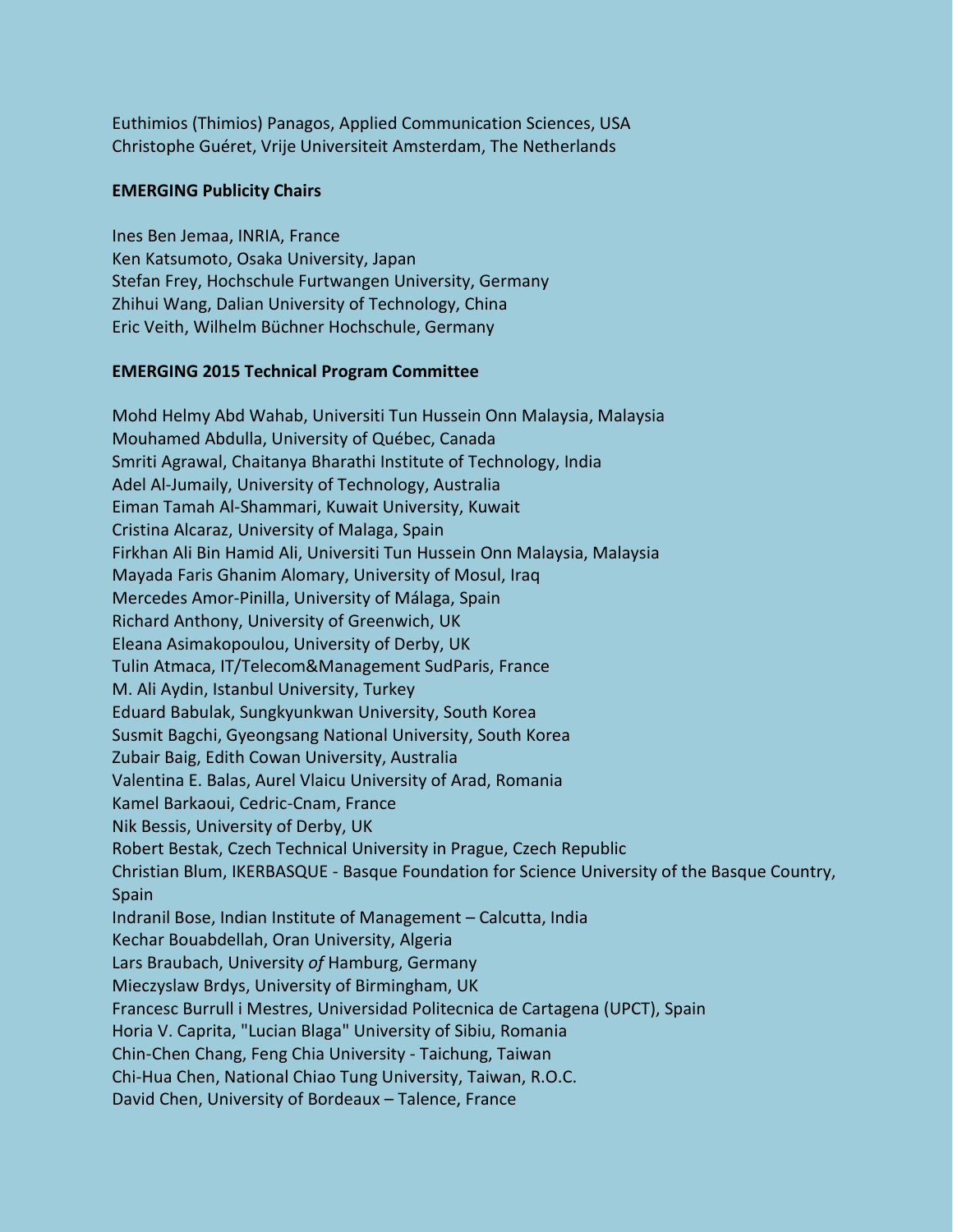Euthimios (Thimios) Panagos, Applied Communication Sciences, USA Christophe Guéret, Vrije Universiteit Amsterdam, The Netherlands

## **EMERGING Publicity Chairs**

Ines Ben Jemaa, INRIA, France Ken Katsumoto, Osaka University, Japan Stefan Frey, Hochschule Furtwangen University, Germany Zhihui Wang, Dalian University of Technology, China Eric Veith, Wilhelm Büchner Hochschule, Germany

### **EMERGING 2015 Technical Program Committee**

Mohd Helmy Abd Wahab, Universiti Tun Hussein Onn Malaysia, Malaysia Mouhamed Abdulla, University of Québec, Canada Smriti Agrawal, Chaitanya Bharathi Institute of Technology, India Adel Al-Jumaily, University of Technology, Australia Eiman Tamah Al-Shammari, Kuwait University, Kuwait Cristina Alcaraz, University of Malaga, Spain Firkhan Ali Bin Hamid Ali, Universiti Tun Hussein Onn Malaysia, Malaysia Mayada Faris Ghanim Alomary, University of Mosul, Iraq Mercedes Amor-Pinilla, University of Málaga, Spain Richard Anthony, University of Greenwich, UK Eleana Asimakopoulou, University of Derby, UK Tulin Atmaca, IT/Telecom&Management SudParis, France M. Ali Aydin, Istanbul University, Turkey Eduard Babulak, Sungkyunkwan University, South Korea Susmit Bagchi, Gyeongsang National University, South Korea Zubair Baig, Edith Cowan University, Australia Valentina E. Balas, Aurel Vlaicu University of Arad, Romania Kamel Barkaoui, Cedric-Cnam, France Nik Bessis, University of Derby, UK Robert Bestak, Czech Technical University in Prague, Czech Republic Christian Blum, IKERBASQUE - Basque Foundation for Science University of the Basque Country, Spain Indranil Bose, Indian Institute of Management – Calcutta, India Kechar Bouabdellah, Oran University, Algeria Lars Braubach, University *of* Hamburg, Germany Mieczyslaw Brdys, University of Birmingham, UK Francesc Burrull i Mestres, Universidad Politecnica de Cartagena (UPCT), Spain Horia V. Caprita, "Lucian Blaga" University of Sibiu, Romania Chin-Chen Chang, Feng Chia University - Taichung, Taiwan Chi-Hua Chen, National Chiao Tung University, Taiwan, R.O.C. David Chen, University of Bordeaux – Talence, France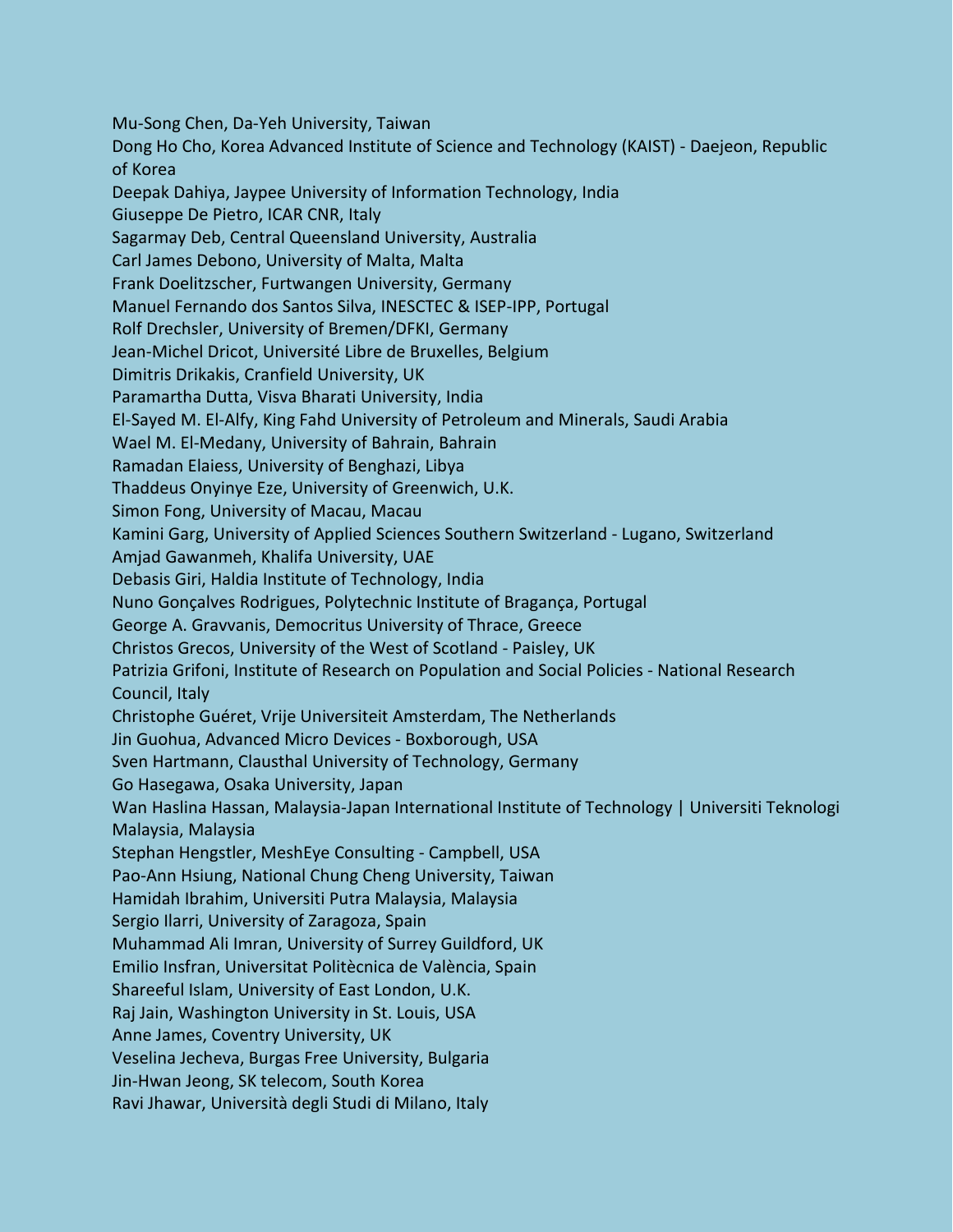Mu-Song Chen, Da-Yeh University, Taiwan Dong Ho Cho, Korea Advanced Institute of Science and Technology (KAIST) - Daejeon, Republic of Korea Deepak Dahiya, Jaypee University of Information Technology, India Giuseppe De Pietro, ICAR CNR, Italy Sagarmay Deb, Central Queensland University, Australia Carl James Debono, University of Malta, Malta Frank Doelitzscher, Furtwangen University, Germany Manuel Fernando dos Santos Silva, INESCTEC & ISEP-IPP, Portugal Rolf Drechsler, University of Bremen/DFKI, Germany Jean-Michel Dricot, Université Libre de Bruxelles, Belgium Dimitris Drikakis, Cranfield University, UK Paramartha Dutta, Visva Bharati University, India El-Sayed M. El-Alfy, King Fahd University of Petroleum and Minerals, Saudi Arabia Wael M. El-Medany, University of Bahrain, Bahrain Ramadan Elaiess, University of Benghazi, Libya Thaddeus Onyinye Eze, University of Greenwich, U.K. Simon Fong, University of Macau, Macau Kamini Garg, University of Applied Sciences Southern Switzerland - Lugano, Switzerland Amjad Gawanmeh, Khalifa University, UAE Debasis Giri, Haldia Institute of Technology, India Nuno Gonçalves Rodrigues, Polytechnic Institute of Bragança, Portugal George A. Gravvanis, Democritus University of Thrace, Greece Christos Grecos, University of the West of Scotland - Paisley, UK Patrizia Grifoni, Institute of Research on Population and Social Policies - National Research Council, Italy Christophe Guéret, Vrije Universiteit Amsterdam, The Netherlands Jin Guohua, Advanced Micro Devices - Boxborough, USA Sven Hartmann, Clausthal University of Technology, Germany Go Hasegawa, Osaka University, Japan Wan Haslina Hassan, Malaysia-Japan International Institute of Technology | Universiti Teknologi Malaysia, Malaysia Stephan Hengstler, MeshEye Consulting - Campbell, USA Pao-Ann Hsiung, National Chung Cheng University, Taiwan Hamidah Ibrahim, Universiti Putra Malaysia, Malaysia Sergio Ilarri, University of Zaragoza, Spain Muhammad Ali Imran, University of Surrey Guildford, UK Emilio Insfran, Universitat Politècnica de València, Spain Shareeful Islam, University of East London, U.K. Raj Jain, Washington University in St. Louis, USA Anne James, Coventry University, UK Veselina Jecheva, Burgas Free University, Bulgaria Jin-Hwan Jeong, SK telecom, South Korea Ravi Jhawar, Università degli Studi di Milano, Italy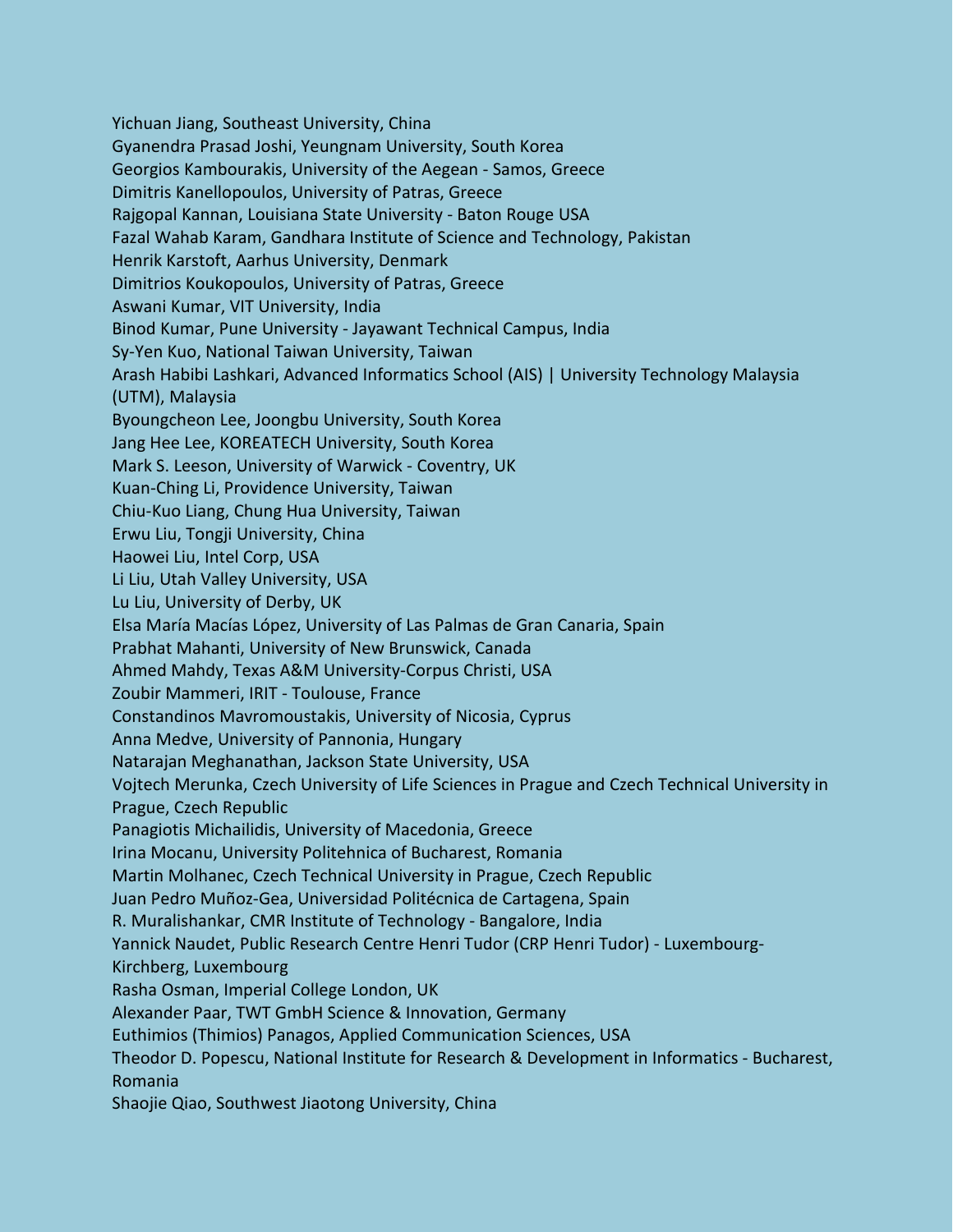Yichuan Jiang, Southeast University, China Gyanendra Prasad Joshi, Yeungnam University, South Korea Georgios Kambourakis, University of the Aegean - Samos, Greece Dimitris Kanellopoulos, University of Patras, Greece Rajgopal Kannan, Louisiana State University - Baton Rouge USA Fazal Wahab Karam, Gandhara Institute of Science and Technology, Pakistan Henrik Karstoft, Aarhus University, Denmark Dimitrios Koukopoulos, University of Patras, Greece Aswani Kumar, VIT University, India Binod Kumar, Pune University - Jayawant Technical Campus, India Sy-Yen Kuo, National Taiwan University, Taiwan Arash Habibi Lashkari, Advanced Informatics School (AIS) | University Technology Malaysia (UTM), Malaysia Byoungcheon Lee, Joongbu University, South Korea Jang Hee Lee, KOREATECH University, South Korea Mark S. Leeson, University of Warwick - Coventry, UK Kuan-Ching Li, Providence University, Taiwan Chiu-Kuo Liang, Chung Hua University, Taiwan Erwu Liu, Tongji University, China Haowei Liu, Intel Corp, USA Li Liu, Utah Valley University, USA Lu Liu, University of Derby, UK Elsa María Macías López, University of Las Palmas de Gran Canaria, Spain Prabhat Mahanti, University of New Brunswick, Canada Ahmed Mahdy, Texas A&M University-Corpus Christi, USA Zoubir Mammeri, IRIT - Toulouse, France Constandinos Mavromoustakis, University of Nicosia, Cyprus Anna Medve, University of Pannonia, Hungary Natarajan Meghanathan, Jackson State University, USA Vojtech Merunka, Czech University of Life Sciences in Prague and Czech Technical University in Prague, Czech Republic Panagiotis Michailidis, University of Macedonia, Greece Irina Mocanu, University Politehnica of Bucharest, Romania Martin Molhanec, Czech Technical University in Prague, Czech Republic Juan Pedro Muñoz-Gea, Universidad Politécnica de Cartagena, Spain R. Muralishankar, CMR Institute of Technology - Bangalore, India Yannick Naudet, Public Research Centre Henri Tudor (CRP Henri Tudor) - Luxembourg-Kirchberg, Luxembourg Rasha Osman, Imperial College London, UK Alexander Paar, TWT GmbH Science & Innovation, Germany Euthimios (Thimios) Panagos, Applied Communication Sciences, USA Theodor D. Popescu, National Institute for Research & Development in Informatics - Bucharest, Romania Shaojie Qiao, Southwest Jiaotong University, China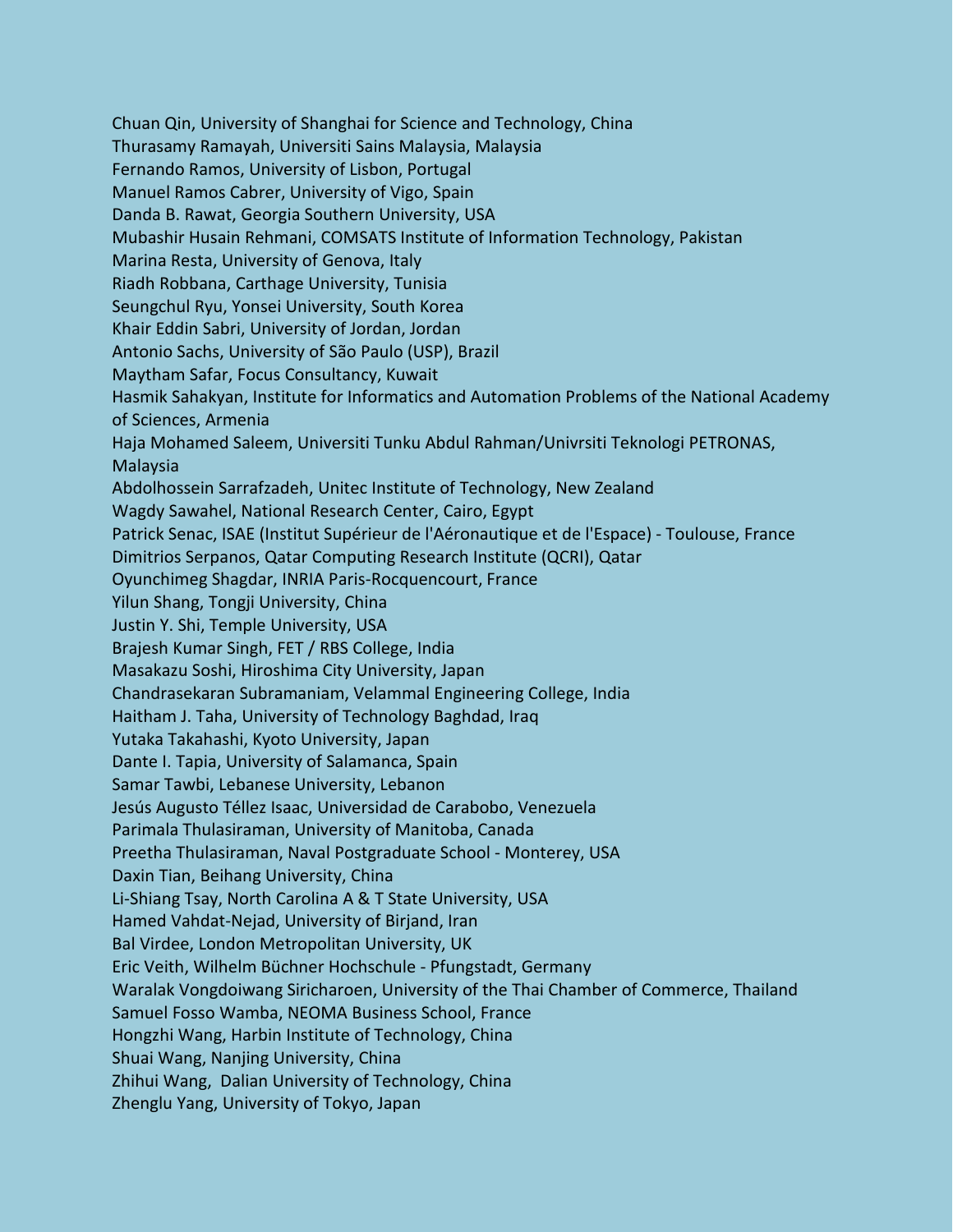Chuan Qin, University of Shanghai for Science and Technology, China Thurasamy Ramayah, Universiti Sains Malaysia, Malaysia Fernando Ramos, University of Lisbon, Portugal Manuel Ramos Cabrer, University of Vigo, Spain Danda B. Rawat, Georgia Southern University, USA Mubashir Husain Rehmani, COMSATS Institute of Information Technology, Pakistan Marina Resta, University of Genova, Italy Riadh Robbana, Carthage University, Tunisia Seungchul Ryu, Yonsei University, South Korea Khair Eddin Sabri, University of Jordan, Jordan Antonio Sachs, University of São Paulo (USP), Brazil Maytham Safar, Focus Consultancy, Kuwait Hasmik Sahakyan, Institute for Informatics and Automation Problems of the National Academy of Sciences, Armenia Haja Mohamed Saleem, Universiti Tunku Abdul Rahman/Univrsiti Teknologi PETRONAS, Malaysia Abdolhossein Sarrafzadeh, Unitec Institute of Technology, New Zealand Wagdy Sawahel, National Research Center, Cairo, Egypt Patrick Senac, ISAE (Institut Supérieur de l'Aéronautique et de l'Espace) - Toulouse, France Dimitrios Serpanos, Qatar Computing Research Institute (QCRI), Qatar Oyunchimeg Shagdar, INRIA Paris-Rocquencourt, France Yilun Shang, Tongji University, China Justin Y. Shi, Temple University, USA Brajesh Kumar Singh, FET / RBS College, India Masakazu Soshi, Hiroshima City University, Japan Chandrasekaran Subramaniam, Velammal Engineering College, India Haitham J. Taha, University of Technology Baghdad, Iraq Yutaka Takahashi, Kyoto University, Japan Dante I. Tapia, University of Salamanca, Spain Samar Tawbi, Lebanese University, Lebanon Jesús Augusto Téllez Isaac, Universidad de Carabobo, Venezuela Parimala Thulasiraman, University of Manitoba, Canada Preetha Thulasiraman, Naval Postgraduate School - Monterey, USA Daxin Tian, Beihang University, China Li-Shiang Tsay, North Carolina A & T State University, USA Hamed Vahdat-Nejad, University of Birjand, Iran Bal Virdee, London Metropolitan University, UK Eric Veith, Wilhelm Büchner Hochschule - Pfungstadt, Germany Waralak Vongdoiwang Siricharoen, University of the Thai Chamber of Commerce, Thailand Samuel Fosso Wamba, NEOMA Business School, France Hongzhi Wang, Harbin Institute of Technology, China Shuai Wang, Nanjing University, China Zhihui Wang, Dalian University of Technology, China Zhenglu Yang, University of Tokyo, Japan